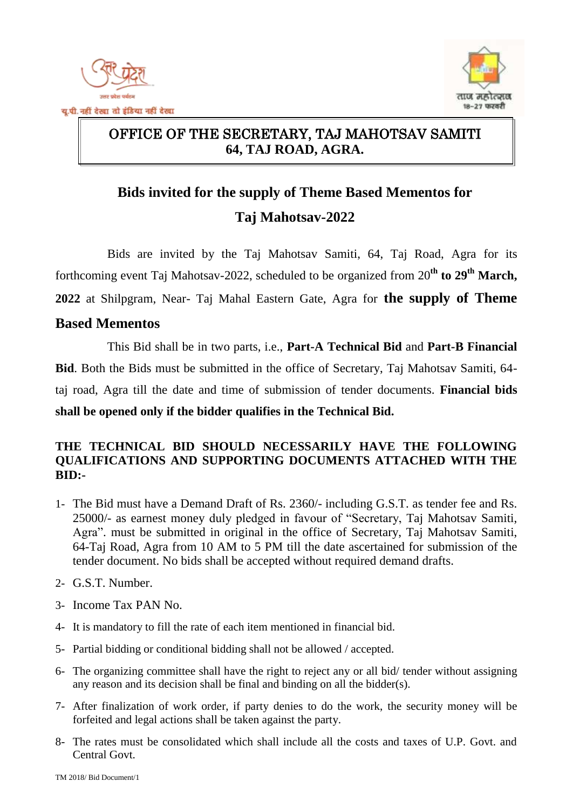



#### $\overline{a}$ OFFICE OF THE SECRETARY, TAJ MAHOTSAV SAMITI **64, TAJ ROAD, AGRA.**

# **Bids invited for the supply of Theme Based Mementos for Taj Mahotsav-2022**

Bids are invited by the Taj Mahotsav Samiti, 64, Taj Road, Agra for its forthcoming event Taj Mahotsav-2022, scheduled to be organized from 20<sup>th</sup> to 29<sup>th</sup> March, **2022** at Shilpgram, Near- Taj Mahal Eastern Gate, Agra for **the supply of Theme** 

#### **Based Mementos**

This Bid shall be in two parts, i.e., **Part-A Technical Bid** and **Part-B Financial Bid**. Both the Bids must be submitted in the office of Secretary, Taj Mahotsav Samiti, 64 taj road, Agra till the date and time of submission of tender documents. **Financial bids shall be opened only if the bidder qualifies in the Technical Bid.**

#### **THE TECHNICAL BID SHOULD NECESSARILY HAVE THE FOLLOWING QUALIFICATIONS AND SUPPORTING DOCUMENTS ATTACHED WITH THE BID:-**

- 1- The Bid must have a Demand Draft of Rs. 2360/- including G.S.T. as tender fee and Rs. 25000/- as earnest money duly pledged in favour of "Secretary, Taj Mahotsav Samiti, Agra". must be submitted in original in the office of Secretary, Taj Mahotsav Samiti, 64-Taj Road, Agra from 10 AM to 5 PM till the date ascertained for submission of the tender document. No bids shall be accepted without required demand drafts.
- 2- G.S.T. Number.
- 3- Income Tax PAN No.
- 4- It is mandatory to fill the rate of each item mentioned in financial bid.
- 5- Partial bidding or conditional bidding shall not be allowed / accepted.
- 6- The organizing committee shall have the right to reject any or all bid/ tender without assigning any reason and its decision shall be final and binding on all the bidder(s).
- 7- After finalization of work order, if party denies to do the work, the security money will be forfeited and legal actions shall be taken against the party.
- 8- The rates must be consolidated which shall include all the costs and taxes of U.P. Govt. and Central Govt.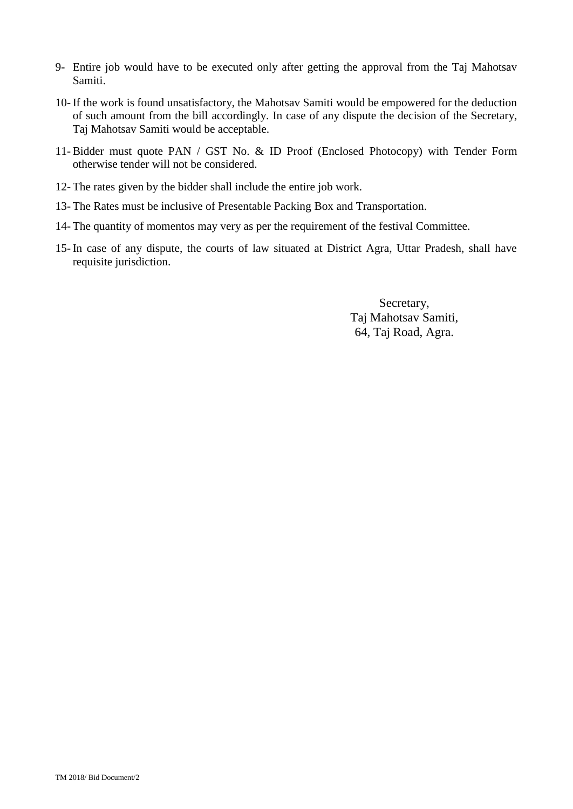- 9- Entire job would have to be executed only after getting the approval from the Taj Mahotsav Samiti.
- 10- If the work is found unsatisfactory, the Mahotsav Samiti would be empowered for the deduction of such amount from the bill accordingly. In case of any dispute the decision of the Secretary, Taj Mahotsav Samiti would be acceptable.
- 11- Bidder must quote PAN / GST No. & ID Proof (Enclosed Photocopy) with Tender Form otherwise tender will not be considered.
- 12- The rates given by the bidder shall include the entire job work.
- 13- The Rates must be inclusive of Presentable Packing Box and Transportation.
- 14- The quantity of momentos may very as per the requirement of the festival Committee.
- 15- In case of any dispute, the courts of law situated at District Agra, Uttar Pradesh, shall have requisite jurisdiction.

Secretary, Taj Mahotsav Samiti, 64, Taj Road, Agra.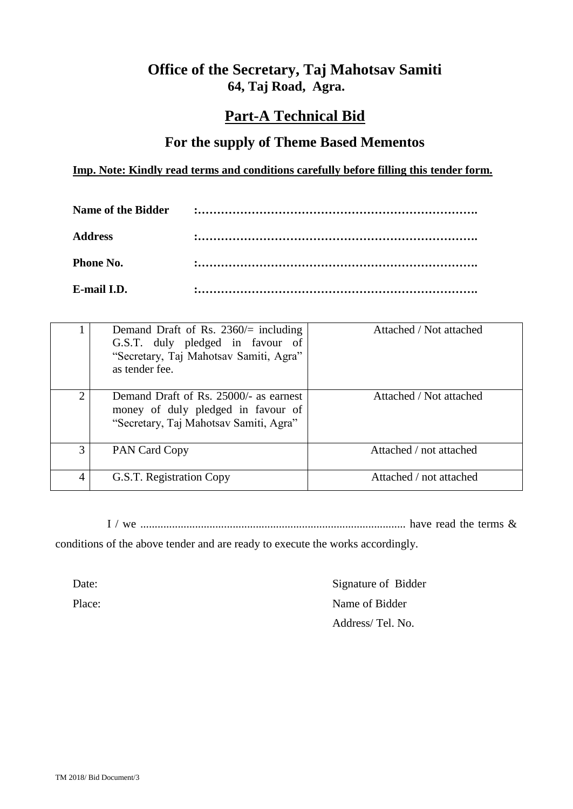#### **Office of the Secretary, Taj Mahotsav Samiti 64, Taj Road, Agra.**

### **Part-A Technical Bid**

#### **For the supply of Theme Based Mementos**

#### **Imp. Note: Kindly read terms and conditions carefully before filling this tender form.**

| <b>Address</b>   |  |
|------------------|--|
| <b>Phone No.</b> |  |
| E-mail I.D.      |  |

|   | Demand Draft of Rs. 2360/ $=$ including<br>G.S.T. duly pledged in favour of<br>"Secretary, Taj Mahotsav Samiti, Agra"<br>as tender fee. | Attached / Not attached |
|---|-----------------------------------------------------------------------------------------------------------------------------------------|-------------------------|
| ↑ | Demand Draft of Rs. 25000/- as earnest<br>money of duly pledged in favour of<br>"Secretary, Taj Mahotsav Samiti, Agra"                  | Attached / Not attached |
| 3 | PAN Card Copy                                                                                                                           | Attached / not attached |
| 4 | G.S.T. Registration Copy                                                                                                                | Attached / not attached |

I / we ............................................................................................ have read the terms &

conditions of the above tender and are ready to execute the works accordingly.

Date: Signature of Bidder Place: Name of Bidder Address/ Tel. No.